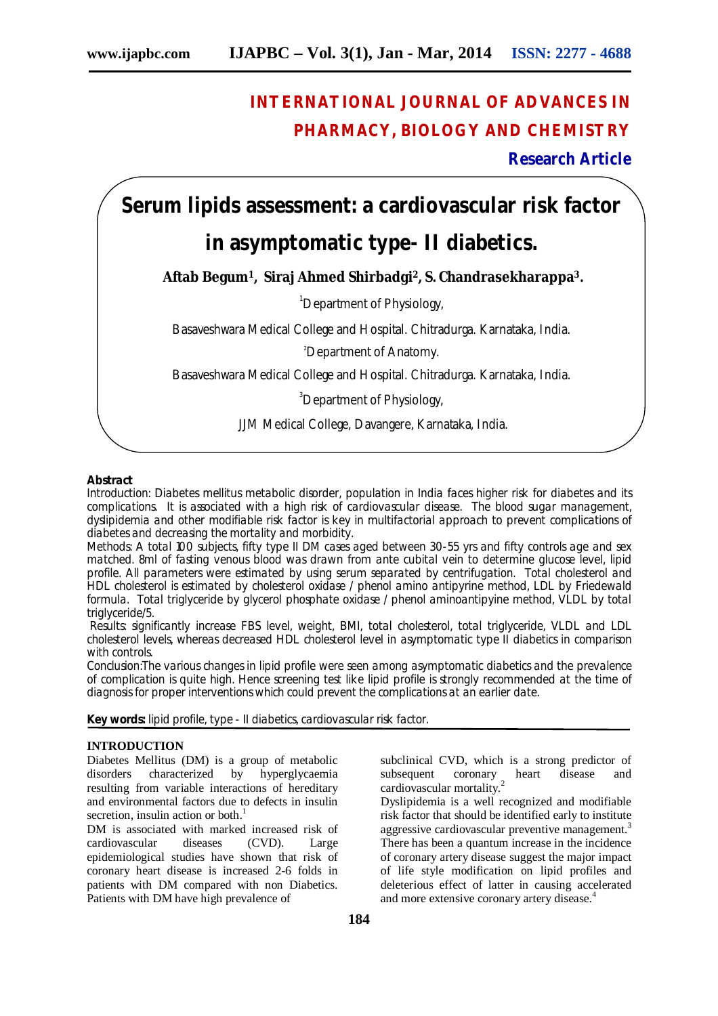# **INTERNATIONAL JOURNAL OF ADVANCES IN PHARMACY, BIOLOGY AND CHEMISTRY**

**Research Article**

# **Serum lipids assessment: a cardiovascular risk factor**

# **in asymptomatic type- II diabetics.**

**Aftab Begum1, Siraj Ahmed Shirbadgi2, S. Chandrasekharappa3.**

<sup>1</sup>Department of Physiology,

Basaveshwara Medical College and Hospital. Chitradurga. Karnataka, India.

<sup>2</sup>Department of Anatomy.

Basaveshwara Medical College and Hospital. Chitradurga. Karnataka, India.

<sup>3</sup>Department of Physiology,

JJM Medical College, Davangere, Karnataka, India.

## **Abstract**

Introduction: Diabetes mellitus metabolic disorder, population in India faces higher risk for diabetes and its complications. It is associated with a high risk of cardiovascular disease. The blood sugar management, dyslipidemia and other modifiable risk factor is key in multifactorial approach to prevent complications of diabetes and decreasing the mortality and morbidity.

Methods: A total 100 subjects, fifty type II DM cases aged between 30-55 yrs and fifty controls age and sex matched. 8ml of fasting venous blood was drawn from ante cubital vein to determine glucose level, lipid profile. All parameters were estimated by using serum separated by centrifugation. Total cholesterol and HDL cholesterol is estimated by cholesterol oxidase / phenol amino antipyrine method, LDL by Friedewald formula. Total triglyceride by glycerol phosphate oxidase / phenol aminoantipyine method, VLDL by total triglyceride/5.

Results: significantly increase FBS level, weight, BMI, total cholesterol, total triglyceride, VLDL and LDL cholesterol levels, whereas decreased HDL cholesterol level in asymptomatic type II diabetics in comparison with controls.

Conclusion:The various changes in lipid profile were seen among asymptomatic diabetics and the prevalence of complication is quite high. Hence screening test like lipid profile is strongly recommended at the time of diagnosis for proper interventions which could prevent the complications at an earlier date.

**Key words:** lipid profile, type - II diabetics, cardiovascular risk factor.

## **INTRODUCTION**

Diabetes Mellitus (DM) is a group of metabolic disorders characterized by hyperglycaemia resulting from variable interactions of hereditary and environmental factors due to defects in insulin secretion, insulin action or both.<sup>1</sup>

DM is associated with marked increased risk of cardiovascular diseases (CVD). Large epidemiological studies have shown that risk of coronary heart disease is increased 2-6 folds in patients with DM compared with non Diabetics. Patients with DM have high prevalence of

subclinical CVD, which is a strong predictor of subsequent coronary heart disease and cardiovascular mortality.<sup>2</sup>

Dyslipidemia is a well recognized and modifiable risk factor that should be identified early to institute aggressive cardiovascular preventive management.<sup>3</sup> There has been a quantum increase in the incidence of coronary artery disease suggest the major impact of life style modification on lipid profiles and deleterious effect of latter in causing accelerated and more extensive coronary artery disease.<sup>4</sup>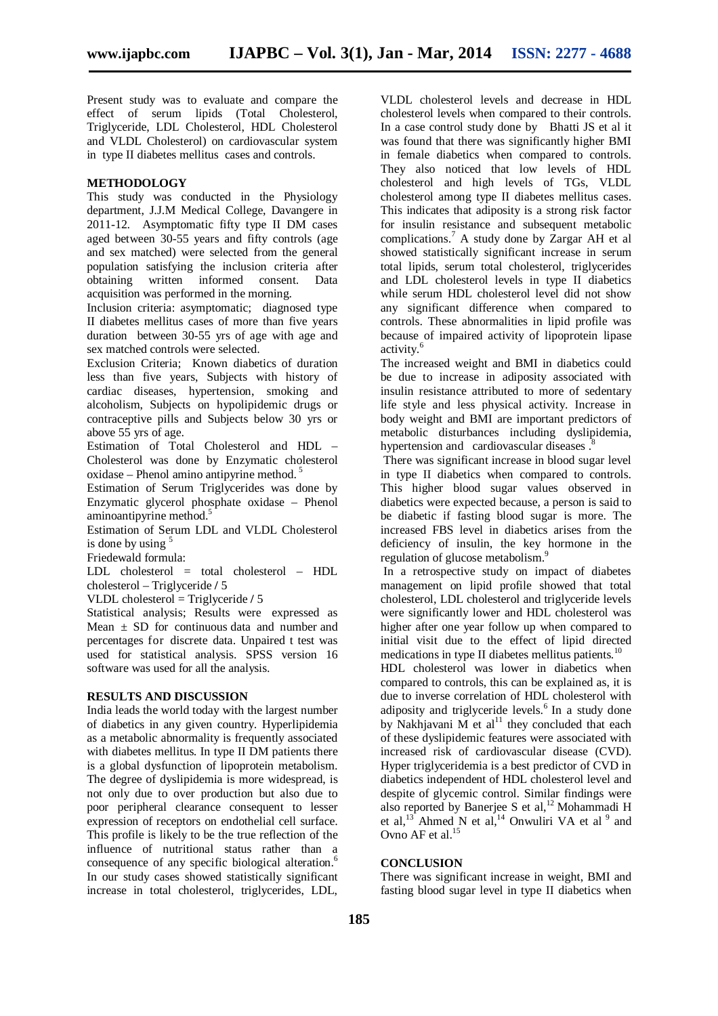Present study was to evaluate and compare the effect of serum lipids (Total Cholesterol, Triglyceride, LDL Cholesterol, HDL Cholesterol and VLDL Cholesterol) on cardiovascular system in type II diabetes mellitus cases and controls.

#### **METHODOLOGY**

This study was conducted in the Physiology department, J.J.M Medical College, Davangere in 2011-12. Asymptomatic fifty type II DM cases aged between 30-55 years and fifty controls (age and sex matched) were selected from the general population satisfying the inclusion criteria after obtaining written informed consent. Data acquisition was performed in the morning.

Inclusion criteria: asymptomatic; diagnosed type II diabetes mellitus cases of more than five years duration between 30-55 yrs of age with age and sex matched controls were selected.

Exclusion Criteria; Known diabetics of duration less than five years, Subjects with history of cardiac diseases, hypertension, smoking and alcoholism, Subjects on hypolipidemic drugs or contraceptive pills and Subjects below 30 yrs or above 55 yrs of age.

Estimation of Total Cholesterol and HDL – Cholesterol was done by Enzymatic cholesterol oxidase – Phenol amino antipyrine method.<sup>5</sup>

Estimation of Serum Triglycerides was done by Enzymatic glycerol phosphate oxidase – Phenol aminoantipyrine method.<sup>5</sup>

Estimation of Serum LDL and VLDL Cholesterol is done by using  $5$ 

Friedewald formula:

LDL cholesterol = total cholesterol – HDL cholesterol – Triglyceride **/** 5

VLDL cholesterol = Triglyceride **/** 5

Statistical analysis; Results were expressed as Mean  $\pm$  SD for continuous data and number and percentages for discrete data. Unpaired t test was used for statistical analysis. SPSS version 16 software was used for all the analysis.

## **RESULTS AND DISCUSSION**

India leads the world today with the largest number of diabetics in any given country. Hyperlipidemia as a metabolic abnormality is frequently associated with diabetes mellitus. In type II DM patients there is a global dysfunction of lipoprotein metabolism. The degree of dyslipidemia is more widespread, is not only due to over production but also due to poor peripheral clearance consequent to lesser expression of receptors on endothelial cell surface. This profile is likely to be the true reflection of the influence of nutritional status rather than a consequence of any specific biological alteration.<sup>6</sup> In our study cases showed statistically significant increase in total cholesterol, triglycerides, LDL,

VLDL cholesterol levels and decrease in HDL cholesterol levels when compared to their controls. In a case control study done by Bhatti JS et al it was found that there was significantly higher BMI in female diabetics when compared to controls. They also noticed that low levels of HDL cholesterol and high levels of TGs, VLDL cholesterol among type II diabetes mellitus cases. This indicates that adiposity is a strong risk factor for insulin resistance and subsequent metabolic complications.<sup>7</sup> A study done by Zargar AH et al showed statistically significant increase in serum total lipids, serum total cholesterol, triglycerides and LDL cholesterol levels in type II diabetics while serum HDL cholesterol level did not show any significant difference when compared to controls. These abnormalities in lipid profile was because of impaired activity of lipoprotein lipase activity.<sup>6</sup>

The increased weight and BMI in diabetics could be due to increase in adiposity associated with insulin resistance attributed to more of sedentary life style and less physical activity. Increase in body weight and BMI are important predictors of metabolic disturbances including dyslipidemia, hypertension and cardiovascular diseases.<sup>8</sup>

There was significant increase in blood sugar level in type II diabetics when compared to controls. This higher blood sugar values observed in diabetics were expected because, a person is said to be diabetic if fasting blood sugar is more. The increased FBS level in diabetics arises from the deficiency of insulin, the key hormone in the regulation of glucose metabolism.<sup>9</sup>

In a retrospective study on impact of diabetes management on lipid profile showed that total cholesterol, LDL cholesterol and triglyceride levels were significantly lower and HDL cholesterol was higher after one year follow up when compared to initial visit due to the effect of lipid directed medications in type II diabetes mellitus patients.<sup>10</sup>

HDL cholesterol was lower in diabetics when compared to controls, this can be explained as, it is due to inverse correlation of HDL cholesterol with adiposity and triglyceride levels.<sup>6</sup> In a study done by Nakhjavani M et  $al<sup>11</sup>$  they concluded that each of these dyslipidemic features were associated with increased risk of cardiovascular disease (CVD). Hyper triglyceridemia is a best predictor of CVD in diabetics independent of HDL cholesterol level and despite of glycemic control. Similar findings were also reported by Banerjee S et al,<sup>12</sup> Mohammadi H et al,<sup>13</sup> Ahmed N et al,<sup>14</sup> Onwuliri VA et al  $^{9}$  and Ovno AF et al.<sup>15</sup>

#### **CONCLUSION**

There was significant increase in weight, BMI and fasting blood sugar level in type II diabetics when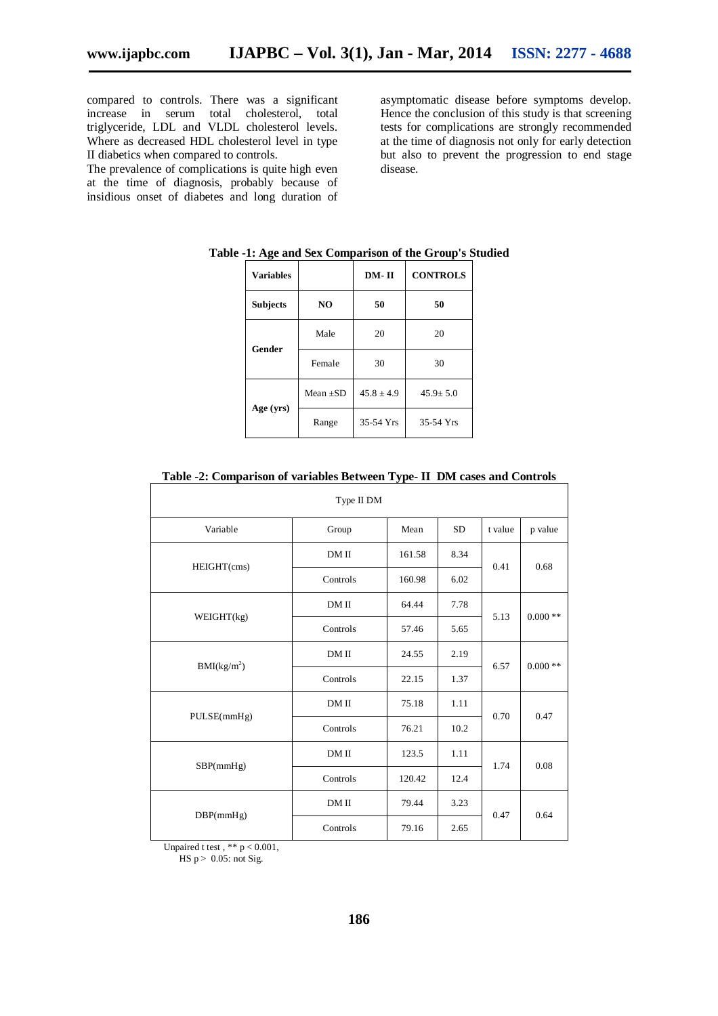compared to controls. There was a significant increase in serum total cholesterol, total triglyceride, LDL and VLDL cholesterol levels. Where as decreased HDL cholesterol level in type II diabetics when compared to controls.

The prevalence of complications is quite high even at the time of diagnosis, probably because of insidious onset of diabetes and long duration of asymptomatic disease before symptoms develop. Hence the conclusion of this study is that screening tests for complications are strongly recommended at the time of diagnosis not only for early detection but also to prevent the progression to end stage disease.

| <b>Variables</b> |                | DM-II        | <b>CONTROLS</b> |  |  |
|------------------|----------------|--------------|-----------------|--|--|
| <b>Subjects</b>  | N <sub>O</sub> | 50           | 50              |  |  |
|                  | Male           | 20           | 20              |  |  |
| Gender           | Female         | 30           | 30              |  |  |
|                  | Mean $+SD$     | $45.8 + 4.9$ | $45.9 + 5.0$    |  |  |
| Age (yrs)        | Range          | 35-54 Yrs    | 35-54 Yrs       |  |  |

|  | Table -1: Age and Sex Comparison of the Group's Studied |  |  |  |  |  |  |
|--|---------------------------------------------------------|--|--|--|--|--|--|
|--|---------------------------------------------------------|--|--|--|--|--|--|

| There $\mathbb{F}$ comparison of variables between Type II Dist cases and Controls |            |        |           |         |           |
|------------------------------------------------------------------------------------|------------|--------|-----------|---------|-----------|
|                                                                                    | Type II DM |        |           |         |           |
| Variable                                                                           | Group      | Mean   | <b>SD</b> | t value | p value   |
| HEIGHT(cms)                                                                        | DM II      | 161.58 | 8.34      |         | 0.68      |
|                                                                                    | Controls   | 160.98 | 6.02      | 0.41    |           |
| WEIGHT(kg)                                                                         | DM II      | 64.44  | 7.78      |         | $0.000**$ |
|                                                                                    | Controls   | 57.46  | 5.65      | 5.13    |           |
| BMI(kg/m <sup>2</sup> )                                                            | DM II      | 24.55  | 2.19      |         | $0.000**$ |
|                                                                                    | Controls   | 22.15  | 1.37      | 6.57    |           |
| PULSE(mmHg)                                                                        | DM II      | 75.18  | 1.11      |         | 0.47      |
|                                                                                    | Controls   | 76.21  | 10.2      | 0.70    |           |
| SBP(mmHg)                                                                          | DM II      | 123.5  | 1.11      |         | 0.08      |
|                                                                                    | Controls   | 120.42 | 12.4      | 1.74    |           |
| DBP(mmHg)                                                                          | DM II      | 79.44  | 3.23      | 0.47    | 0.64      |
|                                                                                    | Controls   | 79.16  | 2.65      |         |           |

#### **Table -2: Comparison of variables Between Type- II DM cases and Controls**

Unpaired t test,  $** p < 0.001$ ,  $HS p > 0.05$ : not Sig.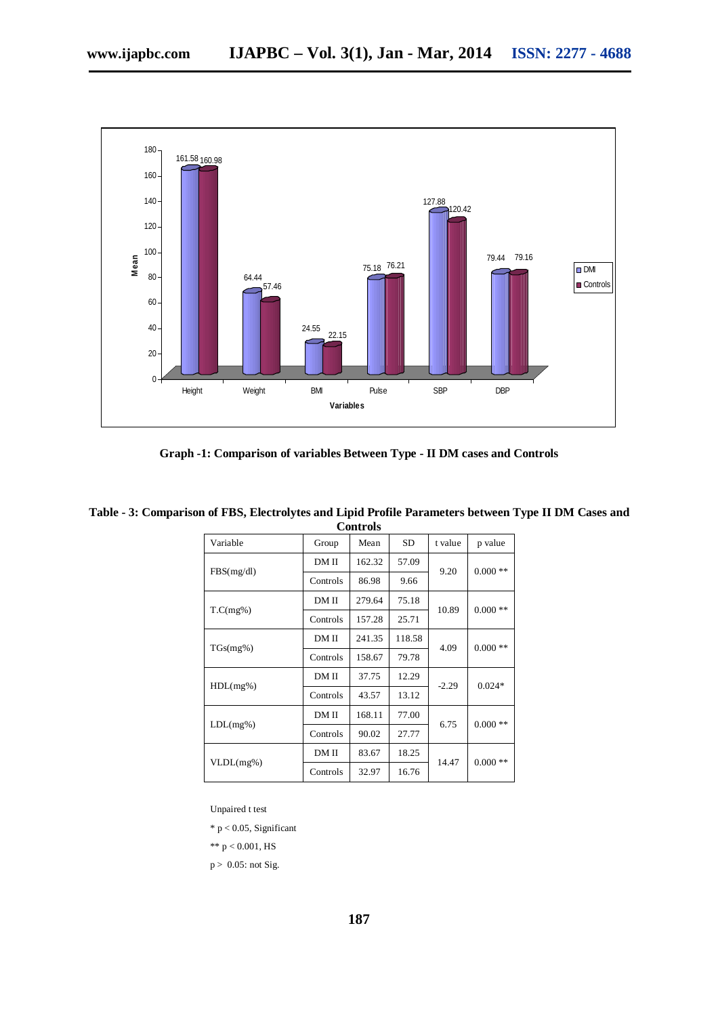

**Graph -1: Comparison of variables Between Type - II DM cases and Controls**

| Variable   | Group    | Mean   | <b>SD</b> | t value | p value   |  |
|------------|----------|--------|-----------|---------|-----------|--|
|            | DM II    | 162.32 | 57.09     |         | $0.000**$ |  |
| FBS(mg/dl) | Controls | 86.98  | 9.66      | 9.20    |           |  |
|            | DM II    | 279.64 | 75.18     | 10.89   | $0.000**$ |  |
| T.C(mg%)   | Controls | 157.28 | 25.71     |         |           |  |
|            | DM II    | 241.35 | 118.58    | 4.09    | $0.000**$ |  |
| TGs(mg%)   | Controls | 158.67 | 79.78     |         |           |  |
|            | DM II    | 37.75  | 12.29     | $-2.29$ | $0.024*$  |  |
| HDL(mg%)   | Controls | 43.57  | 13.12     |         |           |  |
|            | DM II    | 168.11 | 77.00     | 6.75    |           |  |
| LDL(mg%)   | Controls | 90.02  | 27.77     |         | $0.000**$ |  |
|            | DM II    | 83.67  | 18.25     |         |           |  |
| VLDL(mg%)  | Controls | 32.97  | 16.76     | 14.47   | $0.000**$ |  |

**Table - 3: Comparison of FBS, Electrolytes and Lipid Profile Parameters between Type II DM Cases and Controls**

Unpaired t test

\* p < 0.05, Significant

\*\*  $p < 0.001$ , HS

 $p > 0.05$ : not Sig.